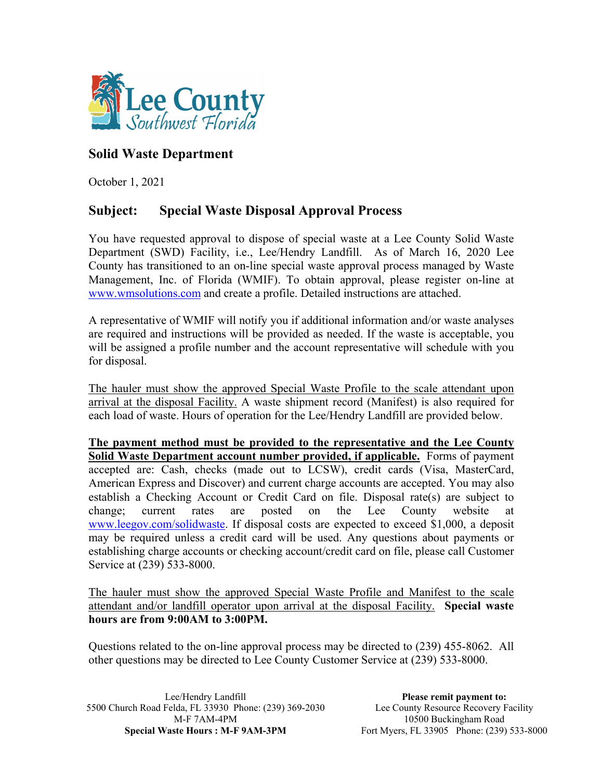

## **Solid Waste Department**

October 1, 2021

## **Subject: Special Waste Disposal Approval Process**

You have requested approval to dispose of special waste at a Lee County Solid Waste Department (SWD) Facility, i.e., Lee/Hendry Landfill. As of March 16, 2020 Lee County has transitioned to an on-line special waste approval process managed by Waste Management, Inc. of Florida (WMIF). To obtain a[pproval, please register](http://www.wmsolutions.com/) on-line at www.wmsolutions.com and create a profile. Detailed instructions are attached.

A representative of WMIF will notify you if additional information and/or waste analyses are required and instructions will be provided as needed. If the waste is acceptable, you will be assigned a profile number and the account representative will schedule with you for disposal.

The hauler must show the approved Special Waste Profile to the scale attendant upon arrival at the disposal Facility. A waste shipment record (Manifest) is also required for each load of waste. Hours of operation for the Lee/Hendry Landfill are provided below.

**The payment method must be provided to the representative and the Lee County Solid Waste Department account number provided, if applicable.** Forms of payment accepted are: Cash, checks (made out to LCSW), credit cards (Visa, MasterCard, American Express and Discover) and current charge accounts are accepted. You may also establish a Checking Account or Credit Card on file. Disposal rate(s) are subject to change; current rates are p[osted on the Lee Co](http://www.leegov.com/solidwaste)unty website at www.leegov.com/solidwaste. If disposal costs are expected to exceed \$1,000, a deposit may be required unless a credit card will be used. Any questions about payments or establishing charge accounts or checking account/credit card on file, please call Customer Service at (239) 533-8000.

The hauler must show the approved Special Waste Profile and Manifest to the scale attendant and/or landfill operator upon arrival at the disposal Facility. **Special waste hours are from 9:00AM to 3:00PM.**

Questions related to the on-line approval process may be directed to (239) 455-8062. All other questions may be directed to Lee County Customer Service at (239) 533-8000.

Lee/Hendry Landfill 5500 Church Road Felda, FL 33930 Phone: (239) 369-2030 M-F 7AM-4PM **Special Waste Hours : M-F 9AM-3PM** 

**Please remit payment to:**  Lee County Resource Recovery Facility 10500 Buckingham Road Fort Myers, FL 33905 Phone: (239) 533-8000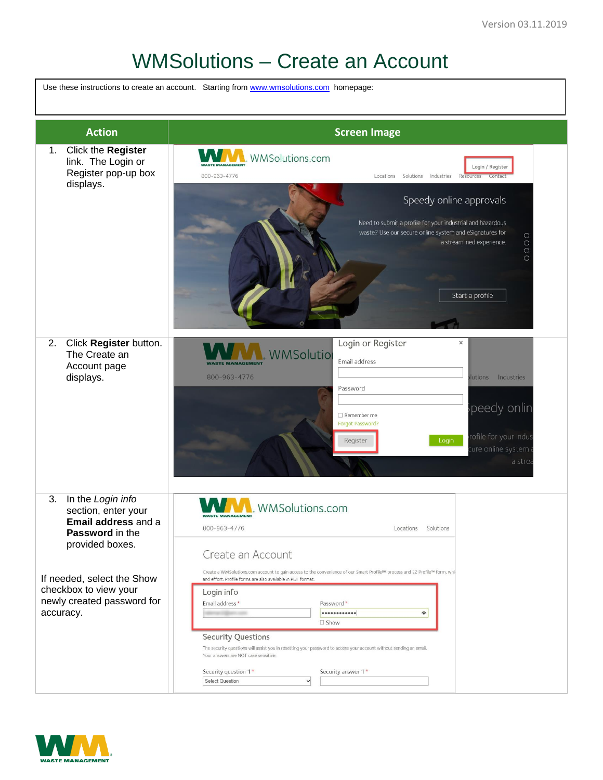## WMSolutions – Create an Account

Use these instructions to create an account. Starting from [www.wmsolutions.com](http://www.wmsolutions.com/) homepage:



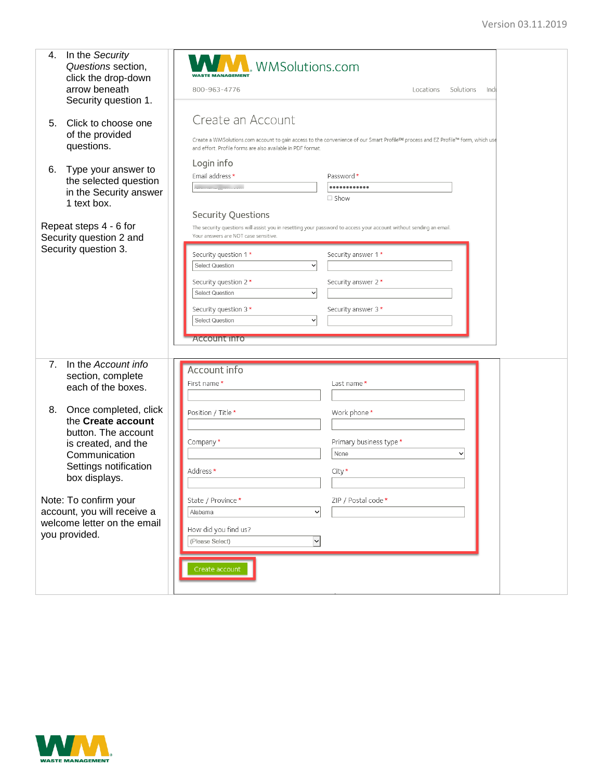| 4.                     | In the Security<br>Questions section,<br>click the drop-down | <b>WWW.</b> WMSolutions.com                                                                                                                                                                                  |
|------------------------|--------------------------------------------------------------|--------------------------------------------------------------------------------------------------------------------------------------------------------------------------------------------------------------|
|                        | arrow beneath                                                | 800-963-4776<br>Solutions<br>Indi<br>Locations                                                                                                                                                               |
|                        | Security question 1.                                         |                                                                                                                                                                                                              |
| 5 <sub>1</sub>         | Click to choose one<br>of the provided                       | Create an Account                                                                                                                                                                                            |
|                        | questions.                                                   | Create a WMSolutions.com account to gain access to the convenience of our Smart Profile <sup>sM</sup> process and EZ Profile™ form, which use<br>and effort. Profile forms are also available in PDF format. |
| 6.                     | Type your answer to                                          | Login info                                                                                                                                                                                                   |
|                        | the selected question                                        | Email address *<br>Password *                                                                                                                                                                                |
|                        | in the Security answer                                       | <br>$\Box$ Show                                                                                                                                                                                              |
|                        | 1 text box.                                                  |                                                                                                                                                                                                              |
|                        |                                                              | <b>Security Questions</b>                                                                                                                                                                                    |
| Repeat steps 4 - 6 for |                                                              | The security questions will assist you in resetting your password to access your account without sending an email.<br>Your answers are NOT case sensitive.                                                   |
|                        | Security question 2 and<br>Security question 3.              |                                                                                                                                                                                                              |
|                        |                                                              | Security question 1*<br>Security answer 1 *                                                                                                                                                                  |
|                        |                                                              | <b>Select Question</b><br>$\checkmark$                                                                                                                                                                       |
|                        |                                                              | Security question 2 *<br>Security answer 2 *                                                                                                                                                                 |
|                        |                                                              | <b>Select Question</b><br>$\checkmark$                                                                                                                                                                       |
|                        |                                                              | Security question 3*<br>Security answer 3*                                                                                                                                                                   |
|                        |                                                              | <b>Select Question</b><br>$\checkmark$                                                                                                                                                                       |
|                        |                                                              | <b>Account info</b>                                                                                                                                                                                          |
|                        |                                                              |                                                                                                                                                                                                              |
| 7 <sub>1</sub>         | In the Account info                                          |                                                                                                                                                                                                              |
|                        | section, complete                                            | Account info                                                                                                                                                                                                 |
|                        | each of the boxes.                                           | First name*<br>Last name *                                                                                                                                                                                   |
|                        |                                                              |                                                                                                                                                                                                              |
| 8.                     | Once completed, click                                        | Position / Title *<br>Work phone*                                                                                                                                                                            |
|                        | the Create account<br>button. The account                    |                                                                                                                                                                                                              |
|                        | is created, and the                                          | Company*<br>Primary business type *                                                                                                                                                                          |
|                        | Communication                                                | None<br>◡                                                                                                                                                                                                    |
|                        | Settings notification                                        | Address *<br>City *                                                                                                                                                                                          |
|                        | box displays.                                                |                                                                                                                                                                                                              |
|                        | Note: To confirm your                                        | State / Province*<br>ZIP / Postal code *                                                                                                                                                                     |
|                        | account, you will receive a                                  | Alabama<br>$\check{ }$                                                                                                                                                                                       |
|                        | welcome letter on the email                                  |                                                                                                                                                                                                              |
|                        | you provided.                                                | How did you find us?                                                                                                                                                                                         |
|                        |                                                              | (Please Select)<br>$\checkmark$                                                                                                                                                                              |
|                        |                                                              |                                                                                                                                                                                                              |
|                        |                                                              | Create account                                                                                                                                                                                               |
|                        |                                                              |                                                                                                                                                                                                              |